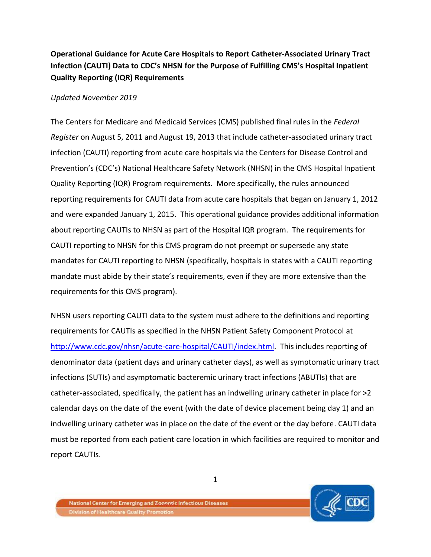## **Operational Guidance for Acute Care Hospitals to Report Catheter-Associated Urinary Tract Infection (CAUTI) Data to CDC's NHSN for the Purpose of Fulfilling CMS's Hospital Inpatient Quality Reporting (IQR) Requirements**

## *Updated November 2019*

The Centers for Medicare and Medicaid Services (CMS) published final rules in the *Federal Register* on August 5, 2011 and August 19, 2013 that include catheter-associated urinary tract infection (CAUTI) reporting from acute care hospitals via the Centers for Disease Control and Prevention's (CDC's) National Healthcare Safety Network (NHSN) in the CMS Hospital Inpatient Quality Reporting (IQR) Program requirements. More specifically, the rules announced reporting requirements for CAUTI data from acute care hospitals that began on January 1, 2012 and were expanded January 1, 2015. This operational guidance provides additional information about reporting CAUTIs to NHSN as part of the Hospital IQR program. The requirements for CAUTI reporting to NHSN for this CMS program do not preempt or supersede any state mandates for CAUTI reporting to NHSN (specifically, hospitals in states with a CAUTI reporting mandate must abide by their state's requirements, even if they are more extensive than the requirements for this CMS program).

NHSN users reporting CAUTI data to the system must adhere to the definitions and reporting requirements for CAUTIs as specified in the NHSN Patient Safety Component Protocol at [http://www.cdc.gov/nhsn/acute-care-hospital/CAUTI/index.html.](http://www.cdc.gov/nhsn/acute-care-hospital/CAUTI/index.html) This includes reporting of denominator data (patient days and urinary catheter days), as well as symptomatic urinary tract infections (SUTIs) and asymptomatic bacteremic urinary tract infections (ABUTIs) that are catheter-associated, specifically, the patient has an indwelling urinary catheter in place for >2 calendar days on the date of the event (with the date of device placement being day 1) and an indwelling urinary catheter was in place on the date of the event or the day before. CAUTI data must be reported from each patient care location in which facilities are required to monitor and report CAUTIs.

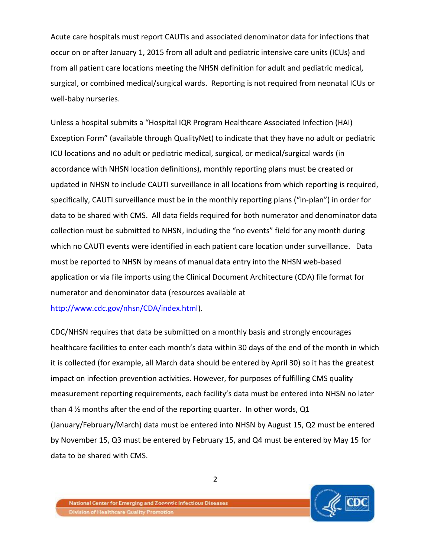Acute care hospitals must report CAUTIs and associated denominator data for infections that occur on or after January 1, 2015 from all adult and pediatric intensive care units (ICUs) and from all patient care locations meeting the NHSN definition for adult and pediatric medical, surgical, or combined medical/surgical wards. Reporting is not required from neonatal ICUs or well-baby nurseries.

Unless a hospital submits a "Hospital IQR Program Healthcare Associated Infection (HAI) Exception Form" (available through QualityNet) to indicate that they have no adult or pediatric ICU locations and no adult or pediatric medical, surgical, or medical/surgical wards (in accordance with NHSN location definitions), monthly reporting plans must be created or updated in NHSN to include CAUTI surveillance in all locations from which reporting is required, specifically, CAUTI surveillance must be in the monthly reporting plans ("in-plan") in order for data to be shared with CMS. All data fields required for both numerator and denominator data collection must be submitted to NHSN, including the "no events" field for any month during which no CAUTI events were identified in each patient care location under surveillance. Data must be reported to NHSN by means of manual data entry into the NHSN web-based application or via file imports using the Clinical Document Architecture (CDA) file format for numerator and denominator data (resources available at [http://www.cdc.gov/nhsn/CDA/index.html\)](http://www.cdc.gov/nhsn/CDA/index.html).

CDC/NHSN requires that data be submitted on a monthly basis and strongly encourages healthcare facilities to enter each month's data within 30 days of the end of the month in which it is collected (for example, all March data should be entered by April 30) so it has the greatest impact on infection prevention activities. However, for purposes of fulfilling CMS quality measurement reporting requirements, each facility's data must be entered into NHSN no later than 4 ½ months after the end of the reporting quarter. In other words, Q1 (January/February/March) data must be entered into NHSN by August 15, Q2 must be entered by November 15, Q3 must be entered by February 15, and Q4 must be entered by May 15 for data to be shared with CMS.



2